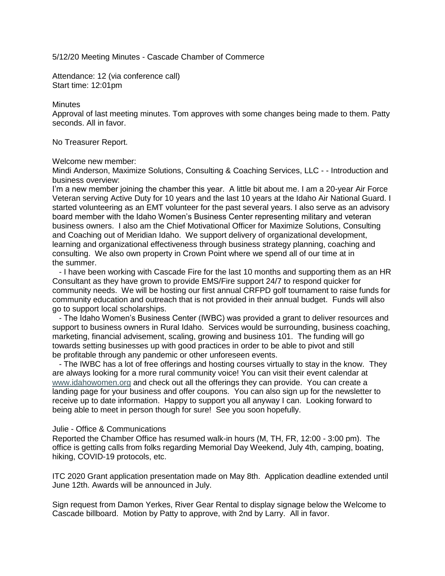5/12/20 Meeting Minutes - Cascade Chamber of Commerce

Attendance: 12 (via conference call) Start time: 12:01pm

## **Minutes**

Approval of last meeting minutes. Tom approves with some changes being made to them. Patty seconds. All in favor.

## No Treasurer Report.

## Welcome new member:

Mindi Anderson, Maximize Solutions, Consulting & Coaching Services, LLC - - Introduction and business overview:

I'm a new member joining the chamber this year. A little bit about me. I am a 20-year Air Force Veteran serving Active Duty for 10 years and the last 10 years at the Idaho Air National Guard. I started volunteering as an EMT volunteer for the past several years. I also serve as an advisory board member with the Idaho Women's Business Center representing military and veteran business owners. I also am the Chief Motivational Officer for Maximize Solutions, Consulting and Coaching out of Meridian Idaho. We support delivery of organizational development, learning and organizational effectiveness through business strategy planning, coaching and consulting. We also own property in Crown Point where we spend all of our time at in the summer.

 - I have been working with Cascade Fire for the last 10 months and supporting them as an HR Consultant as they have grown to provide EMS/Fire support 24/7 to respond quicker for community needs. We will be hosting our first annual CRFPD golf tournament to raise funds for community education and outreach that is not provided in their annual budget. Funds will also go to support local scholarships.

 - The Idaho Women's Business Center (IWBC) was provided a grant to deliver resources and support to business owners in Rural Idaho. Services would be surrounding, business coaching, marketing, financial advisement, scaling, growing and business 101. The funding will go towards setting businesses up with good practices in order to be able to pivot and still be profitable through any pandemic or other unforeseen events.

 - The IWBC has a lot of free offerings and hosting courses virtually to stay in the know. They are always looking for a more rural community voice! You can visit their event calendar at [www.idahowomen.org](http://www.idahowomen.org/) and check out all the offerings they can provide. You can create a landing page for your business and offer coupons. You can also sign up for the newsletter to receive up to date information. Happy to support you all anyway I can. Looking forward to being able to meet in person though for sure! See you soon hopefully.

## Julie - Office & Communications

Reported the Chamber Office has resumed walk-in hours (M, TH, FR, 12:00 - 3:00 pm). The office is getting calls from folks regarding Memorial Day Weekend, July 4th, camping, boating, hiking, COVID-19 protocols, etc.

ITC 2020 Grant application presentation made on May 8th. Application deadline extended until June 12th. Awards will be announced in July.

Sign request from Damon Yerkes, River Gear Rental to display signage below the Welcome to Cascade billboard. Motion by Patty to approve, with 2nd by Larry. All in favor.